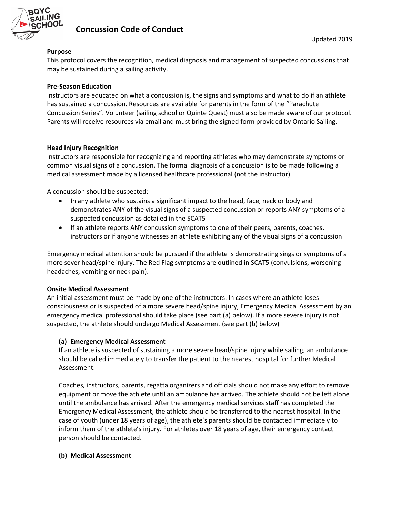

# Concussion Code of Conduct

### Purpose

This protocol covers the recognition, medical diagnosis and management of suspected concussions that may be sustained during a sailing activity.

#### Pre-Season Education

Instructors are educated on what a concussion is, the signs and symptoms and what to do if an athlete has sustained a concussion. Resources are available for parents in the form of the "Parachute Concussion Series". Volunteer (sailing school or Quinte Quest) must also be made aware of our protocol. Parents will receive resources via email and must bring the signed form provided by Ontario Sailing.

#### Head Injury Recognition

Instructors are responsible for recognizing and reporting athletes who may demonstrate symptoms or common visual signs of a concussion. The formal diagnosis of a concussion is to be made following a medical assessment made by a licensed healthcare professional (not the instructor).

A concussion should be suspected:

- In any athlete who sustains a significant impact to the head, face, neck or body and demonstrates ANY of the visual signs of a suspected concussion or reports ANY symptoms of a suspected concussion as detailed in the SCAT5
- If an athlete reports ANY concussion symptoms to one of their peers, parents, coaches, instructors or if anyone witnesses an athlete exhibiting any of the visual signs of a concussion

Emergency medical attention should be pursued if the athlete is demonstrating sings or symptoms of a more sever head/spine injury. The Red Flag symptoms are outlined in SCAT5 (convulsions, worsening headaches, vomiting or neck pain).

#### Onsite Medical Assessment

An initial assessment must be made by one of the instructors. In cases where an athlete loses consciousness or is suspected of a more severe head/spine injury, Emergency Medical Assessment by an emergency medical professional should take place (see part (a) below). If a more severe injury is not suspected, the athlete should undergo Medical Assessment (see part (b) below)

### (a) Emergency Medical Assessment

If an athlete is suspected of sustaining a more severe head/spine injury while sailing, an ambulance should be called immediately to transfer the patient to the nearest hospital for further Medical Assessment.

Coaches, instructors, parents, regatta organizers and officials should not make any effort to remove equipment or move the athlete until an ambulance has arrived. The athlete should not be left alone until the ambulance has arrived. After the emergency medical services staff has completed the Emergency Medical Assessment, the athlete should be transferred to the nearest hospital. In the case of youth (under 18 years of age), the athlete's parents should be contacted immediately to inform them of the athlete's injury. For athletes over 18 years of age, their emergency contact person should be contacted.

#### (b) Medical Assessment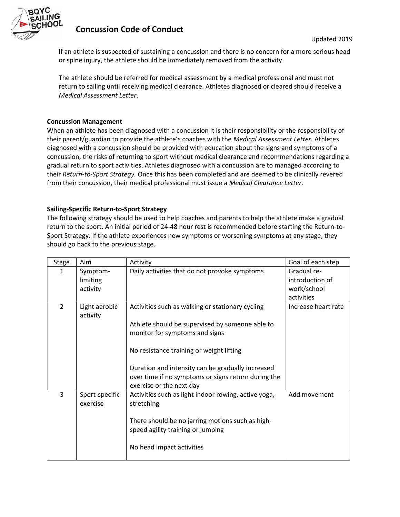

# Concussion Code of Conduct

If an athlete is suspected of sustaining a concussion and there is no concern for a more serious head or spine injury, the athlete should be immediately removed from the activity.

The athlete should be referred for medical assessment by a medical professional and must not return to sailing until receiving medical clearance. Athletes diagnosed or cleared should receive a Medical Assessment Letter.

#### Concussion Management

When an athlete has been diagnosed with a concussion it is their responsibility or the responsibility of their parent/guardian to provide the athlete's coaches with the Medical Assessment Letter. Athletes diagnosed with a concussion should be provided with education about the signs and symptoms of a concussion, the risks of returning to sport without medical clearance and recommendations regarding a gradual return to sport activities. Athletes diagnosed with a concussion are to managed according to their Return-to-Sport Strategy. Once this has been completed and are deemed to be clinically revered from their concussion, their medical professional must issue a Medical Clearance Letter.

#### Sailing-Specific Return-to-Sport Strategy

The following strategy should be used to help coaches and parents to help the athlete make a gradual return to the sport. An initial period of 24-48 hour rest is recommended before starting the Return-to-Sport Strategy. If the athlete experiences new symptoms or worsening symptoms at any stage, they should go back to the previous stage.

| <b>Stage</b>   | Aim                        | Activity                                                           | Goal of each step   |
|----------------|----------------------------|--------------------------------------------------------------------|---------------------|
| 1              | Symptom-                   | Daily activities that do not provoke symptoms                      | Gradual re-         |
|                | limiting                   |                                                                    | introduction of     |
|                | activity                   |                                                                    | work/school         |
|                |                            |                                                                    | activities          |
| $\overline{2}$ | Light aerobic<br>activity  | Activities such as walking or stationary cycling                   | Increase heart rate |
|                |                            | Athlete should be supervised by someone able to                    |                     |
|                |                            | monitor for symptoms and signs                                     |                     |
|                |                            |                                                                    |                     |
|                |                            | No resistance training or weight lifting                           |                     |
|                |                            |                                                                    |                     |
|                |                            | Duration and intensity can be gradually increased                  |                     |
|                |                            | over time if no symptoms or signs return during the                |                     |
|                |                            | exercise or the next day                                           |                     |
| 3              | Sport-specific<br>exercise | Activities such as light indoor rowing, active yoga,<br>stretching | Add movement        |
|                |                            | There should be no jarring motions such as high-                   |                     |
|                |                            | speed agility training or jumping                                  |                     |
|                |                            |                                                                    |                     |
|                |                            | No head impact activities                                          |                     |
|                |                            |                                                                    |                     |